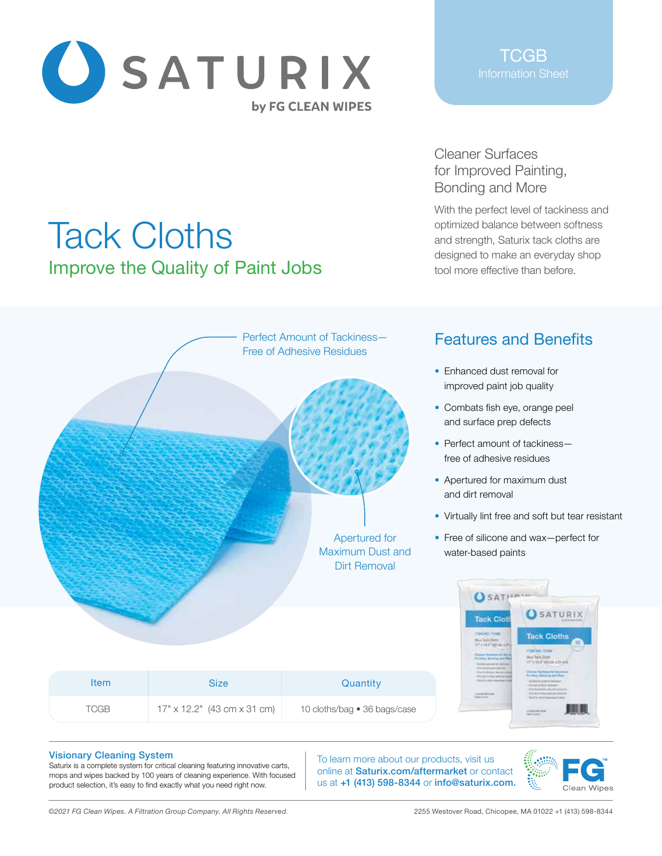

Tack Cloths

Improve the Quality of Paint Jobs

Cleaner Surfaces for Improved Painting, Bonding and More

With the perfect level of tackiness and optimized balance between softness and strength, Saturix tack cloths are designed to make an everyday shop tool more effective than before.

## Perfect Amount of Tackiness— Features and Benefits Free of Adhesive Residues • Enhanced dust removal for improved paint job quality • Combats fish eye, orange peel and surface prep defects • Perfect amount of tackiness free of adhesive residues • Apertured for maximum dust and dirt removal • Virtually lint free and soft but tear resistant Apertured for • Free of silicone and wax—perfect for Maximum Dust and water-based paints Dirt Removal **O** SATILINUM **O** SATURIX **Tack Clot** Item Size Size Quantity

|             |                                    | If a literatural<br><b>Tike &amp; Tach District</b> | Pastervillage (1) an                                                                                                                                                                                                                                            |
|-------------|------------------------------------|-----------------------------------------------------|-----------------------------------------------------------------------------------------------------------------------------------------------------------------------------------------------------------------------------------------------------------------|
| <b>Item</b> | <b>Size</b>                        | Quantity                                            | <b>Control</b><br>$\frac{1}{2} \frac{\left( \frac{1}{2} \right) \left( \frac{1}{2} \right) \left( \frac{1}{2} \right) \left( \frac{1}{2} \right) \left( \frac{1}{2} \right)}{\left( \frac{1}{2} \right) \left( \frac{1}{2} \right) \left( \frac{1}{2} \right)}$ |
| <b>TCGB</b> | $17" \times 12.2"$ (43 cm x 31 cm) | 10 cloths/bag • 36 bags/case                        |                                                                                                                                                                                                                                                                 |

#### Visionary Cleaning System

Saturix is a complete system for critical cleaning featuring innovative carts, mops and wipes backed by 100 years of cleaning experience. With focused product selection, it's easy to find exactly what you need right now.

To learn more about our products, visit us online at Saturix.com/aftermarket or contact us at +1 (413) 598-8344 or info@saturix.com.